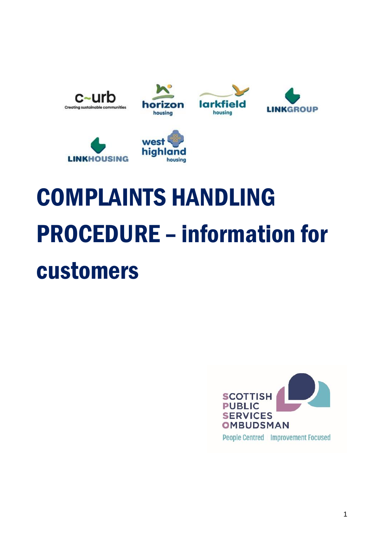











# COMPLAINTS HANDLING PROCEDURE – information for customers

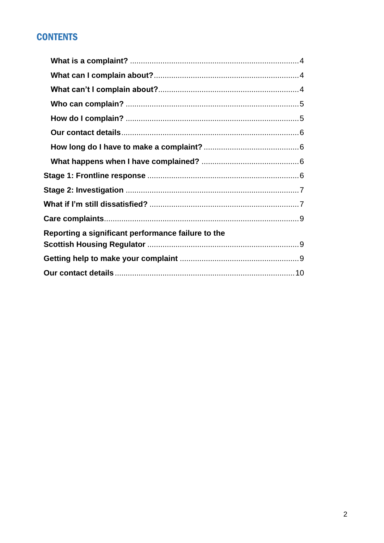## **CONTENTS**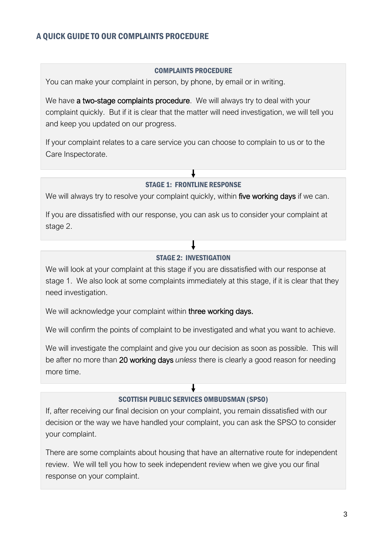#### A QUICK GUIDE TO OUR COMPLAINTS PROCEDURE

#### COMPLAINTS PROCEDURE

You can make your complaint in person, by phone, by email or in writing.

We have a two-stage complaints procedure. We will always try to deal with your complaint quickly. But if it is clear that the matter will need investigation, we will tell you and keep you updated on our progress.

If your complaint relates to a care service you can choose to complain to us or to the Care Inspectorate.

#### STAGE 1: FRONTLINE RESPONSE

We will always try to resolve your complaint quickly, within five working days if we can.

If you are dissatisfied with our response, you can ask us to consider your complaint at stage 2.

#### STAGE 2: INVESTIGATION

We will look at your complaint at this stage if you are dissatisfied with our response at stage 1. We also look at some complaints immediately at this stage, if it is clear that they need investigation.

We will acknowledge your complaint within three working days.

We will confirm the points of complaint to be investigated and what you want to achieve.

We will investigate the complaint and give you our decision as soon as possible. This will be after no more than 20 working days *unless* there is clearly a good reason for needing more time.

#### SCOTTISH PUBLIC SERVICES OMBUDSMAN (SPSO)

If, after receiving our final decision on your complaint, you remain dissatisfied with our decision or the way we have handled your complaint, you can ask the SPSO to consider your complaint.

There are some complaints about housing that have an alternative route for independent review. We will tell you how to seek independent review when we give you our final response on your complaint.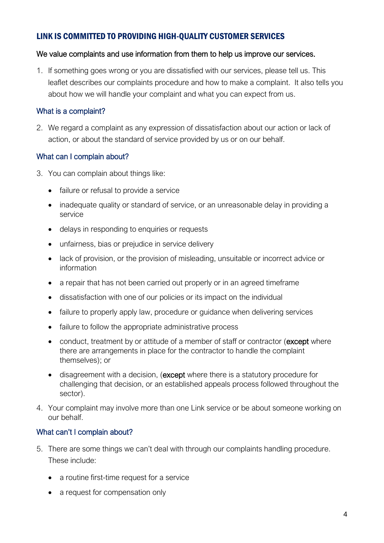### LINK IS COMMITTED TO PROVIDING HIGH-QUALITY CUSTOMER SERVICES

#### We value complaints and use information from them to help us improve our services.

1. If something goes wrong or you are dissatisfied with our services, please tell us. This leaflet describes our complaints procedure and how to make a complaint. It also tells you about how we will handle your complaint and what you can expect from us.

#### <span id="page-3-0"></span>What is a complaint?

2. We regard a complaint as any expression of dissatisfaction about our action or lack of action, or about the standard of service provided by us or on our behalf.

#### <span id="page-3-1"></span>What can I complain about?

- 3. You can complain about things like:
	- failure or refusal to provide a service
	- inadequate quality or standard of service, or an unreasonable delay in providing a service
	- delays in responding to enquiries or requests
	- unfairness, bias or prejudice in service delivery
	- lack of provision, or the provision of misleading, unsuitable or incorrect advice or information
	- a repair that has not been carried out properly or in an agreed timeframe
	- dissatisfaction with one of our policies or its impact on the individual
	- failure to properly apply law, procedure or guidance when delivering services
	- failure to follow the appropriate administrative process
	- conduct, treatment by or attitude of a member of staff or contractor (except where there are arrangements in place for the contractor to handle the complaint themselves); or
	- disagreement with a decision, (except where there is a statutory procedure for challenging that decision, or an established appeals process followed throughout the sector).
- 4. Your complaint may involve more than one Link service or be about someone working on our behalf.

#### <span id="page-3-2"></span>What can't I complain about?

- 5. There are some things we can't deal with through our complaints handling procedure. These include:
	- a routine first-time request for a service
	- a request for compensation only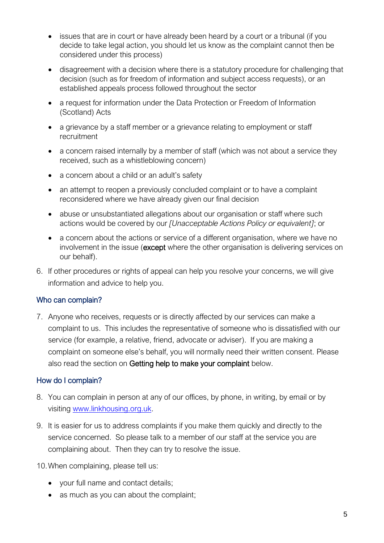- issues that are in court or have already been heard by a court or a tribunal (if you decide to take legal action, you should let us know as the complaint cannot then be considered under this process)
- disagreement with a decision where there is a statutory procedure for challenging that decision (such as for freedom of information and subject access requests), or an established appeals process followed throughout the sector
- a request for information under the Data Protection or Freedom of Information (Scotland) Acts
- a grievance by a staff member or a grievance relating to employment or staff recruitment
- a concern raised internally by a member of staff (which was not about a service they received, such as a whistleblowing concern)
- a concern about a child or an adult's safety
- an attempt to reopen a previously concluded complaint or to have a complaint reconsidered where we have already given our final decision
- abuse or unsubstantiated allegations about our organisation or staff where such actions would be covered by our *[Unacceptable Actions Policy or equivalent]*; or
- a concern about the actions or service of a different organisation, where we have no involvement in the issue (except where the other organisation is delivering services on our behalf).
- 6. If other procedures or rights of appeal can help you resolve your concerns, we will give information and advice to help you.

#### <span id="page-4-0"></span>Who can complain?

7. Anyone who receives, requests or is directly affected by our services can make a complaint to us. This includes the representative of someone who is dissatisfied with our service (for example, a relative, friend, advocate or adviser). If you are making a complaint on someone else's behalf, you will normally need their written consent. Please also read the section on Getting help to make your complaint below.

#### <span id="page-4-1"></span>How do I complain?

- 8. You can complain in person at any of our offices, by phone, in writing, by email or by visiting [www.linkhousing.org.uk.](http://www.linkhousing.org.uk/)
- 9. It is easier for us to address complaints if you make them quickly and directly to the service concerned. So please talk to a member of our staff at the service you are complaining about. Then they can try to resolve the issue.

10.When complaining, please tell us:

- your full name and contact details;
- as much as you can about the complaint;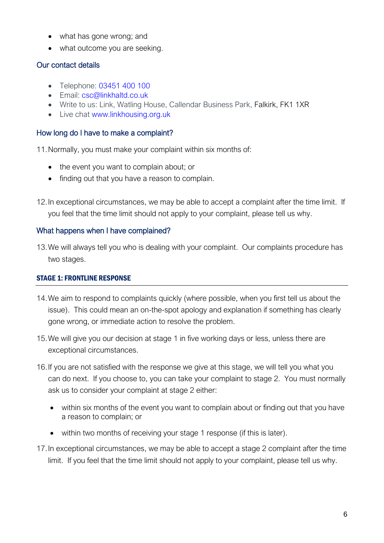- what has gone wrong; and
- <span id="page-5-1"></span>• what outcome you are seeking.

#### <span id="page-5-0"></span>Our contact details

- Telephone: [03451 400 100](tel:+03451400100)
- Email: [csc@linkhaltd.co.uk](https://linkhousing.org.uk/umbraco/%22mailto:csc@linkhaltd.co.uk)
- Write to us: Link, Watling House, Callendar Business Park, Falkirk, FK1 1XR
- Live chat [www.linkhousing.org.uk](http://www.linkhousing.org.uk/)

#### How long do I have to make a complaint?

11.Normally, you must make your complaint within six months of:

- the event you want to complain about; or
- finding out that you have a reason to complain.
- 12.In exceptional circumstances, we may be able to accept a complaint after the time limit. If you feel that the time limit should not apply to your complaint, please tell us why.

#### <span id="page-5-2"></span>What happens when I have complained?

13.We will always tell you who is dealing with your complaint. Our complaints procedure has two stages.

#### <span id="page-5-3"></span>STAGE 1: FRONTLINE RESPONSE

- 14.We aim to respond to complaints quickly (where possible, when you first tell us about the issue). This could mean an on-the-spot apology and explanation if something has clearly gone wrong, or immediate action to resolve the problem.
- 15.We will give you our decision at stage 1 in five working days or less, unless there are exceptional circumstances.
- 16.If you are not satisfied with the response we give at this stage, we will tell you what you can do next. If you choose to, you can take your complaint to stage 2. You must normally ask us to consider your complaint at stage 2 either:
	- within six months of the event you want to complain about or finding out that you have a reason to complain; or
	- within two months of receiving your stage 1 response (if this is later).
- 17.In exceptional circumstances, we may be able to accept a stage 2 complaint after the time limit. If you feel that the time limit should not apply to your complaint, please tell us why.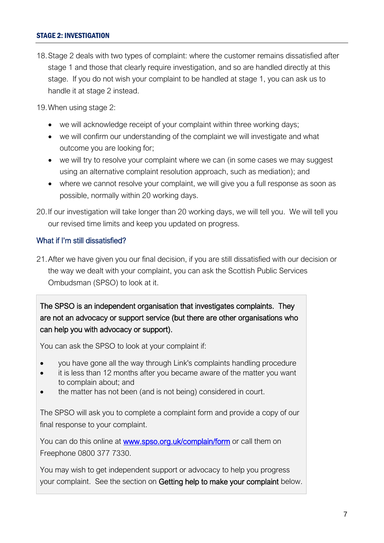#### <span id="page-6-0"></span>STAGE 2: INVESTIGATION

18.Stage 2 deals with two types of complaint: where the customer remains dissatisfied after stage 1 and those that clearly require investigation, and so are handled directly at this stage. If you do not wish your complaint to be handled at stage 1, you can ask us to handle it at stage 2 instead.

19.When using stage 2:

- we will acknowledge receipt of your complaint within three working days;
- we will confirm our understanding of the complaint we will investigate and what outcome you are looking for;
- we will try to resolve your complaint where we can (in some cases we may suggest using an alternative complaint resolution approach, such as mediation); and
- <span id="page-6-1"></span>• where we cannot resolve your complaint, we will give you a full response as soon as possible, normally within 20 working days.
- 20.If our investigation will take longer than 20 working days, we will tell you. We will tell you our revised time limits and keep you updated on progress.

#### What if I'm still dissatisfied?

21.After we have given you our final decision, if you are still dissatisfied with our decision or the way we dealt with your complaint, you can ask the Scottish Public Services Ombudsman (SPSO) to look at it.

The SPSO is an independent organisation that investigates complaints. They are not an advocacy or support service (but there are other organisations who can help you with advocacy or support).

You can ask the SPSO to look at your complaint if:

- you have gone all the way through Link's complaints handling procedure
- it is less than 12 months after you became aware of the matter you want to complain about; and
- the matter has not been (and is not being) considered in court.

The SPSO will ask you to complete a complaint form and provide a copy of our final response to your complaint.

You can do this online at [www.spso.org.uk/complain/form](http://www.spso.org.uk/complain/form) or call them on Freephone 0800 377 7330.

You may wish to get independent support or advocacy to help you progress your complaint. See the section on Getting help to make your complaint below.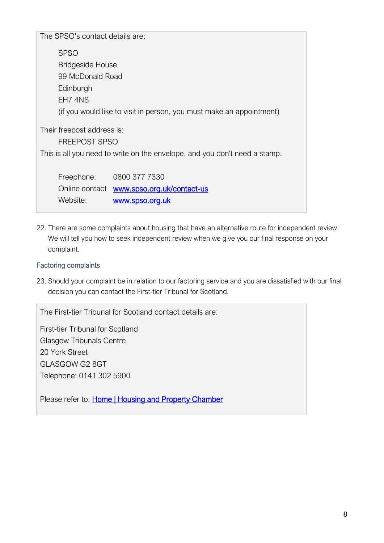The SPSO's contact details are: SPSO Bridgeside House 99 McDonald Road **Edinburgh** EH7 4NS (if you would like to visit in person, you must make an appointment) Their freepost address is: FREEPOST SPSO This is all you need to write on the envelope, and you don't need a stamp. Freephone: 0800 377 7330

Online contact [www.spso.org.uk/contact-us](http://www.spso.org.uk/contact-us) Website: [www.spso.org.uk](http://www.spso.org.uk/)

22. There are some complaints about housing that have an alternative route for independent review. We will tell you how to seek independent review when we give you our final response on your complaint.

#### Factoring complaints

23. Should your complaint be in relation to our factoring service and you are dissatisfied with our final decision you can contact the First-tier Tribunal for Scotland.

The First-tier Tribunal for Scotland contact details are:

First-tier Tribunal for Scotland Glasgow Tribunals Centre 20 York Street GLASGOW G2 8GT Telephone: 0141 302 5900

Please refer to: [Home | Housing and Property Chamber](https://www.housingandpropertychamber.scot/home)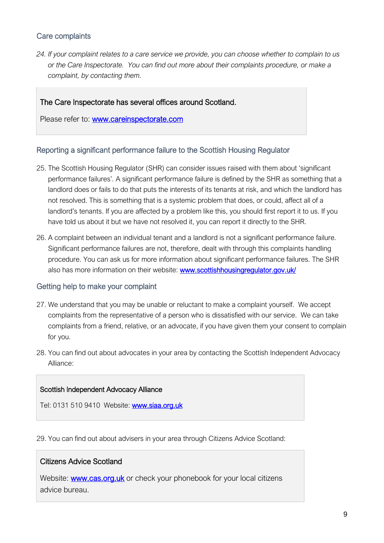#### <span id="page-8-0"></span>Care complaints

*24. If your complaint relates to a care service we provide, you can choose whether to complain to us or the Care Inspectorate. You can find out more about their complaints procedure, or make a complaint, by contacting them.*

#### The Care Inspectorate has several offices around Scotland.

Please refer to: [www.careinspectorate.com](http://www.careinspectorate.com/) 

#### <span id="page-8-1"></span>Reporting a significant performance failure to the Scottish Housing Regulator

- 25. The Scottish Housing Regulator (SHR) can consider issues raised with them about 'significant performance failures'. A significant performance failure is defined by the SHR as something that a landlord does or fails to do that puts the interests of its tenants at risk, and which the landlord has not resolved. This is something that is a systemic problem that does, or could, affect all of a landlord's tenants. If you are affected by a problem like this, you should first report it to us. If you have told us about it but we have not resolved it, you can report it directly to the SHR.
- 26. A complaint between an individual tenant and a landlord is not a significant performance failure. Significant performance failures are not, therefore, dealt with through this complaints handling procedure. You can ask us for more information about significant performance failures. The SHR also has more information on their website: www.scottishhousingregulator.gov.uk/

#### <span id="page-8-2"></span>Getting help to make your complaint

- 27. We understand that you may be unable or reluctant to make a complaint yourself. We accept complaints from the representative of a person who is dissatisfied with our service. We can take complaints from a friend, relative, or an advocate, if you have given them your consent to complain for you.
- 28. You can find out about advocates in your area by contacting the Scottish Independent Advocacy Alliance:

#### Scottish Independent Advocacy Alliance

Tel: 0131 510 9410 Website: [www.siaa.org.uk](https://www.spso.org.uk/sites/spso/files/csa/www.siaa.org.uk)

29. You can find out about advisers in your area through Citizens Advice Scotland:

#### Citizens Advice Scotland

Website: [www.cas.org.uk](https://www.spso.org.uk/sites/spso/files/csa/www.cas.org.uk) or check your phonebook for your local citizens advice bureau.